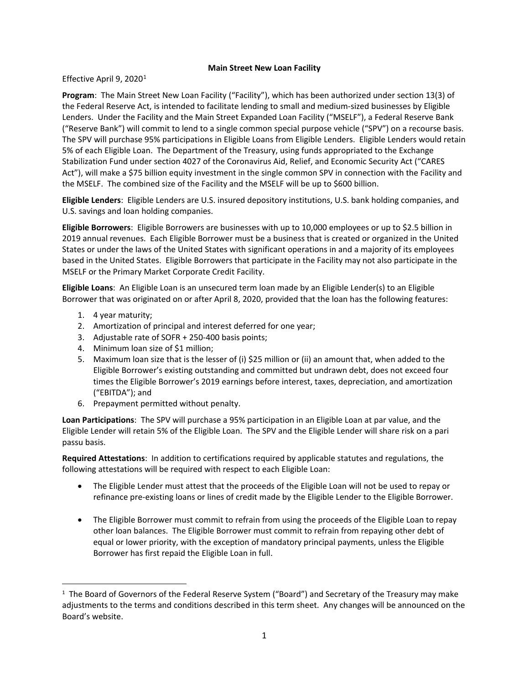## **Main Street New Loan Facility**

Effective April 9, 2020<sup>[1](#page-0-0)</sup>

**Program**: The Main Street New Loan Facility ("Facility"), which has been authorized under section 13(3) of the Federal Reserve Act, is intended to facilitate lending to small and medium-sized businesses by Eligible Lenders. Under the Facility and the Main Street Expanded Loan Facility ("MSELF"), a Federal Reserve Bank ("Reserve Bank") will commit to lend to a single common special purpose vehicle ("SPV") on a recourse basis. The SPV will purchase 95% participations in Eligible Loans from Eligible Lenders. Eligible Lenders would retain 5% of each Eligible Loan. The Department of the Treasury, using funds appropriated to the Exchange Stabilization Fund under section 4027 of the Coronavirus Aid, Relief, and Economic Security Act ("CARES Act"), will make a \$75 billion equity investment in the single common SPV in connection with the Facility and the MSELF. The combined size of the Facility and the MSELF will be up to \$600 billion.

**Eligible Lenders**: Eligible Lenders are U.S. insured depository institutions, U.S. bank holding companies, and U.S. savings and loan holding companies.

**Eligible Borrowers**: Eligible Borrowers are businesses with up to 10,000 employees or up to \$2.5 billion in 2019 annual revenues. Each Eligible Borrower must be a business that is created or organized in the United States or under the laws of the United States with significant operations in and a majority of its employees based in the United States. Eligible Borrowers that participate in the Facility may not also participate in the MSELF or the Primary Market Corporate Credit Facility.

**Eligible Loans**: An Eligible Loan is an unsecured term loan made by an Eligible Lender(s) to an Eligible Borrower that was originated on or after April 8, 2020, provided that the loan has the following features:

- 1. 4 year maturity;
- 2. Amortization of principal and interest deferred for one year;
- 3. Adjustable rate of SOFR + 250-400 basis points;
- 4. Minimum loan size of \$1 million;
- 5. Maximum loan size that is the lesser of (i) \$25 million or (ii) an amount that, when added to the Eligible Borrower's existing outstanding and committed but undrawn debt, does not exceed four times the Eligible Borrower's 2019 earnings before interest, taxes, depreciation, and amortization ("EBITDA"); and
- 6. Prepayment permitted without penalty.

**Loan Participations**: The SPV will purchase a 95% participation in an Eligible Loan at par value, and the Eligible Lender will retain 5% of the Eligible Loan. The SPV and the Eligible Lender will share risk on a pari passu basis.

**Required Attestations**: In addition to certifications required by applicable statutes and regulations, the following attestations will be required with respect to each Eligible Loan:

- The Eligible Lender must attest that the proceeds of the Eligible Loan will not be used to repay or refinance pre-existing loans or lines of credit made by the Eligible Lender to the Eligible Borrower.
- The Eligible Borrower must commit to refrain from using the proceeds of the Eligible Loan to repay other loan balances. The Eligible Borrower must commit to refrain from repaying other debt of equal or lower priority, with the exception of mandatory principal payments, unless the Eligible Borrower has first repaid the Eligible Loan in full.

<span id="page-0-0"></span> $\overline{1}$  $1$  The Board of Governors of the Federal Reserve System ("Board") and Secretary of the Treasury may make adjustments to the terms and conditions described in this term sheet. Any changes will be announced on the Board's website.